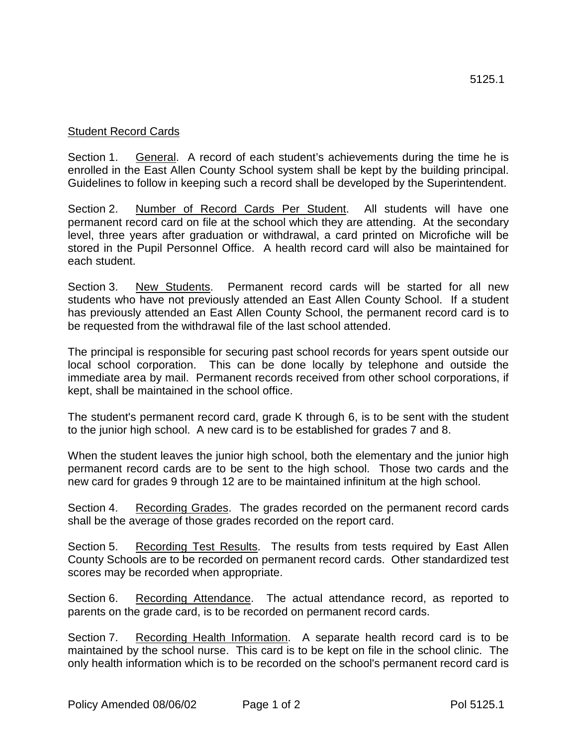## Student Record Cards

Section 1. General. A record of each student's achievements during the time he is enrolled in the East Allen County School system shall be kept by the building principal. Guidelines to follow in keeping such a record shall be developed by the Superintendent.

Section 2. Number of Record Cards Per Student. All students will have one permanent record card on file at the school which they are attending. At the secondary level, three years after graduation or withdrawal, a card printed on Microfiche will be stored in the Pupil Personnel Office. A health record card will also be maintained for each student.

Section 3. New Students. Permanent record cards will be started for all new students who have not previously attended an East Allen County School. If a student has previously attended an East Allen County School, the permanent record card is to be requested from the withdrawal file of the last school attended.

The principal is responsible for securing past school records for years spent outside our local school corporation. This can be done locally by telephone and outside the immediate area by mail. Permanent records received from other school corporations, if kept, shall be maintained in the school office.

The student's permanent record card, grade K through 6, is to be sent with the student to the junior high school. A new card is to be established for grades 7 and 8.

When the student leaves the junior high school, both the elementary and the junior high permanent record cards are to be sent to the high school. Those two cards and the new card for grades 9 through 12 are to be maintained infinitum at the high school.

Section 4. Recording Grades. The grades recorded on the permanent record cards shall be the average of those grades recorded on the report card.

Section 5. Recording Test Results. The results from tests required by East Allen County Schools are to be recorded on permanent record cards. Other standardized test scores may be recorded when appropriate.

Section 6. Recording Attendance. The actual attendance record, as reported to parents on the grade card, is to be recorded on permanent record cards.

Section 7. Recording Health Information. A separate health record card is to be maintained by the school nurse. This card is to be kept on file in the school clinic. The only health information which is to be recorded on the school's permanent record card is